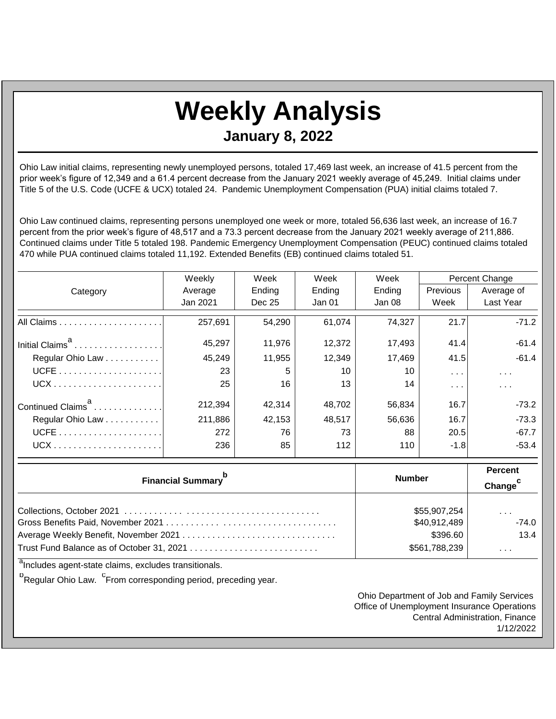## **Weekly Analysis**

**January 8, 2022**

Ohio Law initial claims, representing newly unemployed persons, totaled 17,469 last week, an increase of 41.5 percent from the prior week's figure of 12,349 and a 61.4 percent decrease from the January 2021 weekly average of 45,249. Initial claims under Title 5 of the U.S. Code (UCFE & UCX) totaled 24. Pandemic Unemployment Compensation (PUA) initial claims totaled 7.

Ohio Law continued claims, representing persons unemployed one week or more, totaled 56,636 last week, an increase of 16.7 percent from the prior week's figure of 48,517 and a 73.3 percent decrease from the January 2021 weekly average of 211,886. Continued claims under Title 5 totaled 198. Pandemic Emergency Unemployment Compensation (PEUC) continued claims totaled 470 while PUA continued claims totaled 11,192. Extended Benefits (EB) continued claims totaled 51.

|                               | Weekly   | Week   | Week   | Week   | Percent Change   |                         |
|-------------------------------|----------|--------|--------|--------|------------------|-------------------------|
| Category                      | Average  | Ending | Ending | Ending | <b>Previous</b>  | Average of              |
|                               | Jan 2021 | Dec 25 | Jan 01 | Jan 08 | Week             | Last Year               |
|                               | 257,691  | 54,290 | 61,074 | 74,327 | 21.7             | $-71.2$                 |
| Initial Claims <sup>a</sup>   | 45,297   | 11,976 | 12,372 | 17,493 | 41.4             | $-61.4$                 |
| Regular Ohio Law              | 45,249   | 11,955 | 12,349 | 17,469 | 41.5             | $-61.4$                 |
|                               | 23       | 5      | 10     | 10     | $\sim$ $\sim$    | $\sim 100$ km s $^{-1}$ |
|                               | 25       | 16     | 13     | 14     | $\sim$ 100 $\pm$ | $\sim$ $\sim$ $\sim$    |
| Continued Claims <sup>a</sup> | 212,394  | 42.314 | 48,702 | 56.834 | 16.7             | -73.2                   |
| Regular Ohio Law              | 211,886  | 42,153 | 48,517 | 56,636 | 16.7             | $-73.3$                 |
|                               | 272      | 76     | 73     | 88     | 20.5             | $-67.7$                 |
|                               | 236      | 85     | 112    | 110    | $-1.8$           | $-53.4$                 |

| <b>Financial Summary</b> <sup>p</sup> | <b>Number</b> | <b>Percent</b><br>Change |
|---------------------------------------|---------------|--------------------------|
|                                       | \$55,907,254  | $\cdots$                 |
|                                       | \$40,912,489  | $-74.0$                  |
|                                       | \$396.60      | 13.4                     |
|                                       | \$561,788,239 | $\cdots$                 |

<sup>a</sup>Includes agent-state claims, excludes transitionals.

<sup>b</sup>Regular Ohio Law. <sup>C</sup>From corresponding period, preceding year.

Ohio Department of Job and Family Services Office of Unemployment Insurance Operations Central Administration, Finance 1/12/2022